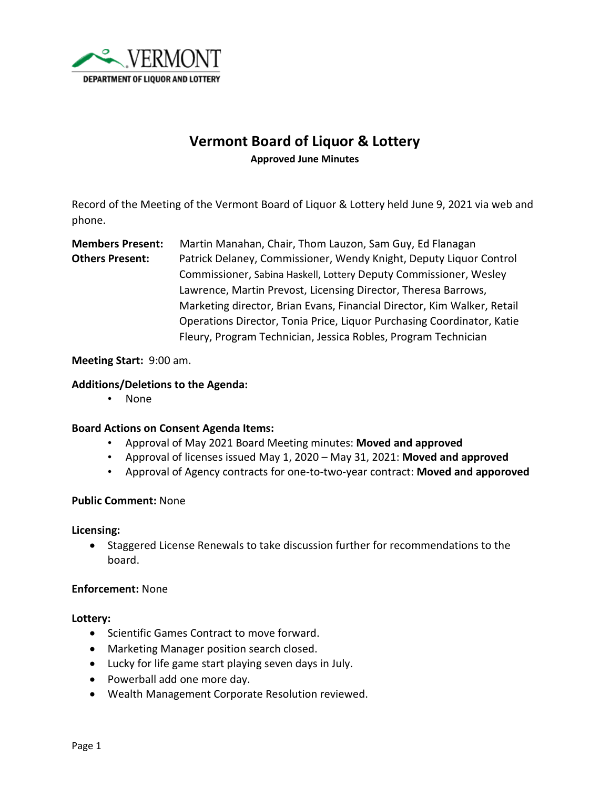

# **Vermont Board of Liquor & Lottery**

**Approved June Minutes**

Record of the Meeting of the Vermont Board of Liquor & Lottery held June 9, 2021 via web and phone.

# **Members Present:** Martin Manahan, Chair, Thom Lauzon, Sam Guy, Ed Flanagan **Others Present:** Patrick Delaney, Commissioner, Wendy Knight, Deputy Liquor Control Commissioner, Sabina Haskell, Lottery Deputy Commissioner, Wesley Lawrence, Martin Prevost, Licensing Director, Theresa Barrows, Marketing director, Brian Evans, Financial Director, Kim Walker, Retail Operations Director, Tonia Price, Liquor Purchasing Coordinator, Katie Fleury, Program Technician, Jessica Robles, Program Technician

# **Meeting Start:** 9:00 am.

#### **Additions/Deletions to the Agenda:**

• None

#### **Board Actions on Consent Agenda Items:**

- Approval of May 2021 Board Meeting minutes: **Moved and approved**
- Approval of licenses issued May 1, 2020 May 31, 2021: **Moved and approved**
- Approval of Agency contracts for one-to-two-year contract: **Moved and apporoved**

# **Public Comment:** None

#### **Licensing:**

• Staggered License Renewals to take discussion further for recommendations to the board.

#### **Enforcement:** None

# **Lottery:**

- Scientific Games Contract to move forward.
- Marketing Manager position search closed.
- Lucky for life game start playing seven days in July.
- Powerball add one more day.
- Wealth Management Corporate Resolution reviewed.